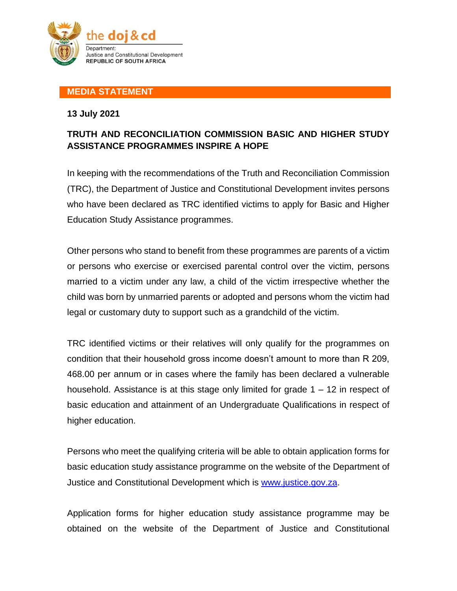

## **MEDIA STATEMENT**

## **13 July 2021**

## **TRUTH AND RECONCILIATION COMMISSION BASIC AND HIGHER STUDY ASSISTANCE PROGRAMMES INSPIRE A HOPE**

In keeping with the recommendations of the Truth and Reconciliation Commission (TRC), the Department of Justice and Constitutional Development invites persons who have been declared as TRC identified victims to apply for Basic and Higher Education Study Assistance programmes.

Other persons who stand to benefit from these programmes are parents of a victim or persons who exercise or exercised parental control over the victim, persons married to a victim under any law, a child of the victim irrespective whether the child was born by unmarried parents or adopted and persons whom the victim had legal or customary duty to support such as a grandchild of the victim.

TRC identified victims or their relatives will only qualify for the programmes on condition that their household gross income doesn't amount to more than R 209, 468.00 per annum or in cases where the family has been declared a vulnerable household. Assistance is at this stage only limited for grade 1 – 12 in respect of basic education and attainment of an Undergraduate Qualifications in respect of higher education.

Persons who meet the qualifying criteria will be able to obtain application forms for basic education study assistance programme on the website of the Department of Justice and Constitutional Development which is [www.justice.gov.za.](https://www.justice.gov.za/forms/form_trc.html)

Application forms for higher education study assistance programme may be obtained on the website of the Department of Justice and Constitutional